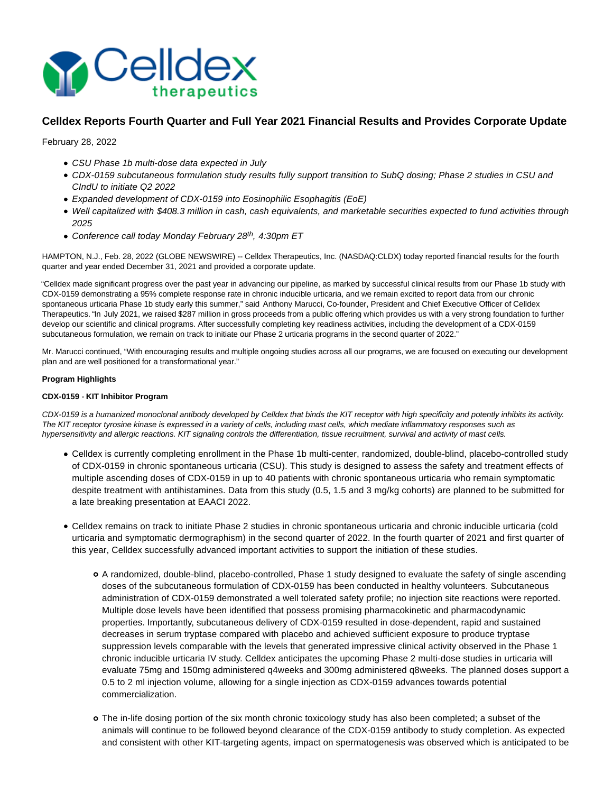

# **Celldex Reports Fourth Quarter and Full Year 2021 Financial Results and Provides Corporate Update**

February 28, 2022

- CSU Phase 1b multi-dose data expected in July
- CDX-0159 subcutaneous formulation study results fully support transition to SubQ dosing; Phase 2 studies in CSU and CIndU to initiate Q2 2022
- Expanded development of CDX-0159 into Eosinophilic Esophagitis (EoE)
- Well capitalized with \$408.3 million in cash, cash equivalents, and marketable securities expected to fund activities through 2025
- Conference call today Monday February 28<sup>th</sup>, 4:30pm ET

HAMPTON, N.J., Feb. 28, 2022 (GLOBE NEWSWIRE) -- Celldex Therapeutics, Inc. (NASDAQ:CLDX) today reported financial results for the fourth quarter and year ended December 31, 2021 and provided a corporate update.

"Celldex made significant progress over the past year in advancing our pipeline, as marked by successful clinical results from our Phase 1b study with CDX-0159 demonstrating a 95% complete response rate in chronic inducible urticaria, and we remain excited to report data from our chronic spontaneous urticaria Phase 1b study early this summer," said Anthony Marucci, Co-founder, President and Chief Executive Officer of Celldex Therapeutics. "In July 2021, we raised \$287 million in gross proceeds from a public offering which provides us with a very strong foundation to further develop our scientific and clinical programs. After successfully completing key readiness activities, including the development of a CDX-0159 subcutaneous formulation, we remain on track to initiate our Phase 2 urticaria programs in the second quarter of 2022."

Mr. Marucci continued, "With encouraging results and multiple ongoing studies across all our programs, we are focused on executing our development plan and are well positioned for a transformational year."

## **Program Highlights**

## **CDX-0159** - **KIT Inhibitor Program**

CDX-0159 is a humanized monoclonal antibody developed by Celldex that binds the KIT receptor with high specificity and potently inhibits its activity. The KIT receptor tyrosine kinase is expressed in a variety of cells, including mast cells, which mediate inflammatory responses such as hypersensitivity and allergic reactions. KIT signaling controls the differentiation, tissue recruitment, survival and activity of mast cells.

- Celldex is currently completing enrollment in the Phase 1b multi-center, randomized, double-blind, placebo-controlled study of CDX-0159 in chronic spontaneous urticaria (CSU). This study is designed to assess the safety and treatment effects of multiple ascending doses of CDX-0159 in up to 40 patients with chronic spontaneous urticaria who remain symptomatic despite treatment with antihistamines. Data from this study (0.5, 1.5 and 3 mg/kg cohorts) are planned to be submitted for a late breaking presentation at EAACI 2022.
- Celldex remains on track to initiate Phase 2 studies in chronic spontaneous urticaria and chronic inducible urticaria (cold urticaria and symptomatic dermographism) in the second quarter of 2022. In the fourth quarter of 2021 and first quarter of this year, Celldex successfully advanced important activities to support the initiation of these studies.
	- A randomized, double-blind, placebo-controlled, Phase 1 study designed to evaluate the safety of single ascending doses of the subcutaneous formulation of CDX-0159 has been conducted in healthy volunteers. Subcutaneous administration of CDX-0159 demonstrated a well tolerated safety profile; no injection site reactions were reported. Multiple dose levels have been identified that possess promising pharmacokinetic and pharmacodynamic properties. Importantly, subcutaneous delivery of CDX-0159 resulted in dose-dependent, rapid and sustained decreases in serum tryptase compared with placebo and achieved sufficient exposure to produce tryptase suppression levels comparable with the levels that generated impressive clinical activity observed in the Phase 1 chronic inducible urticaria IV study. Celldex anticipates the upcoming Phase 2 multi-dose studies in urticaria will evaluate 75mg and 150mg administered q4weeks and 300mg administered q8weeks. The planned doses support a 0.5 to 2 ml injection volume, allowing for a single injection as CDX-0159 advances towards potential commercialization.
	- The in-life dosing portion of the six month chronic toxicology study has also been completed; a subset of the animals will continue to be followed beyond clearance of the CDX-0159 antibody to study completion. As expected and consistent with other KIT-targeting agents, impact on spermatogenesis was observed which is anticipated to be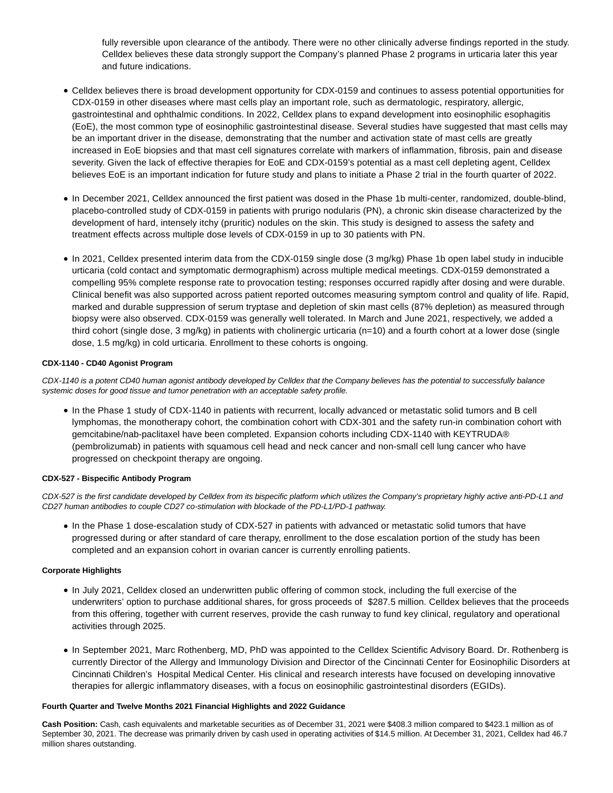fully reversible upon clearance of the antibody. There were no other clinically adverse findings reported in the study. Celldex believes these data strongly support the Company's planned Phase 2 programs in urticaria later this year and future indications.

- Celldex believes there is broad development opportunity for CDX-0159 and continues to assess potential opportunities for CDX-0159 in other diseases where mast cells play an important role, such as dermatologic, respiratory, allergic, gastrointestinal and ophthalmic conditions. In 2022, Celldex plans to expand development into eosinophilic esophagitis (EoE), the most common type of eosinophilic gastrointestinal disease. Several studies have suggested that mast cells may be an important driver in the disease, demonstrating that the number and activation state of mast cells are greatly increased in EoE biopsies and that mast cell signatures correlate with markers of inflammation, fibrosis, pain and disease severity. Given the lack of effective therapies for EoE and CDX-0159's potential as a mast cell depleting agent, Celldex believes EoE is an important indication for future study and plans to initiate a Phase 2 trial in the fourth quarter of 2022.
- In December 2021, Celldex announced the first patient was dosed in the Phase 1b multi-center, randomized, double-blind, placebo-controlled study of CDX-0159 in patients with prurigo nodularis (PN), a chronic skin disease characterized by the development of hard, intensely itchy (pruritic) nodules on the skin. This study is designed to assess the safety and treatment effects across multiple dose levels of CDX-0159 in up to 30 patients with PN.
- In 2021, Celldex presented interim data from the CDX-0159 single dose (3 mg/kg) Phase 1b open label study in inducible urticaria (cold contact and symptomatic dermographism) across multiple medical meetings. CDX-0159 demonstrated a compelling 95% complete response rate to provocation testing; responses occurred rapidly after dosing and were durable. Clinical benefit was also supported across patient reported outcomes measuring symptom control and quality of life. Rapid, marked and durable suppression of serum tryptase and depletion of skin mast cells (87% depletion) as measured through biopsy were also observed. CDX-0159 was generally well tolerated. In March and June 2021, respectively, we added a third cohort (single dose, 3 mg/kg) in patients with cholinergic urticaria (n=10) and a fourth cohort at a lower dose (single dose, 1.5 mg/kg) in cold urticaria. Enrollment to these cohorts is ongoing.

## **CDX-1140 - CD40 Agonist Program**

CDX-1140 is a potent CD40 human agonist antibody developed by Celldex that the Company believes has the potential to successfully balance systemic doses for good tissue and tumor penetration with an acceptable safety profile.

In the Phase 1 study of CDX-1140 in patients with recurrent, locally advanced or metastatic solid tumors and B cell lymphomas, the monotherapy cohort, the combination cohort with CDX-301 and the safety run-in combination cohort with gemcitabine/nab-paclitaxel have been completed. Expansion cohorts including CDX-1140 with KEYTRUDA® (pembrolizumab) in patients with squamous cell head and neck cancer and non-small cell lung cancer who have progressed on checkpoint therapy are ongoing.

### **CDX-527 - Bispecific Antibody Program**

CDX-527 is the first candidate developed by Celldex from its bispecific platform which utilizes the Company's proprietary highly active anti-PD-L1 and CD27 human antibodies to couple CD27 co-stimulation with blockade of the PD-L1/PD-1 pathway.

• In the Phase 1 dose-escalation study of CDX-527 in patients with advanced or metastatic solid tumors that have progressed during or after standard of care therapy, enrollment to the dose escalation portion of the study has been completed and an expansion cohort in ovarian cancer is currently enrolling patients.

### **Corporate Highlights**

- In July 2021, Celldex closed an underwritten public offering of common stock, including the full exercise of the underwriters' option to purchase additional shares, for gross proceeds of \$287.5 million. Celldex believes that the proceeds from this offering, together with current reserves, provide the cash runway to fund key clinical, regulatory and operational activities through 2025.
- In September 2021, Marc Rothenberg, MD, PhD was appointed to the Celldex Scientific Advisory Board. Dr. Rothenberg is currently Director of the Allergy and Immunology Division and Director of the Cincinnati Center for Eosinophilic Disorders at Cincinnati Children's Hospital Medical Center. His clinical and research interests have focused on developing innovative therapies for allergic inflammatory diseases, with a focus on eosinophilic gastrointestinal disorders (EGIDs).

### **Fourth Quarter and Twelve Months 2021 Financial Highlights and 2022 Guidance**

**Cash Position:** Cash, cash equivalents and marketable securities as of December 31, 2021 were \$408.3 million compared to \$423.1 million as of September 30, 2021. The decrease was primarily driven by cash used in operating activities of \$14.5 million. At December 31, 2021, Celldex had 46.7 million shares outstanding.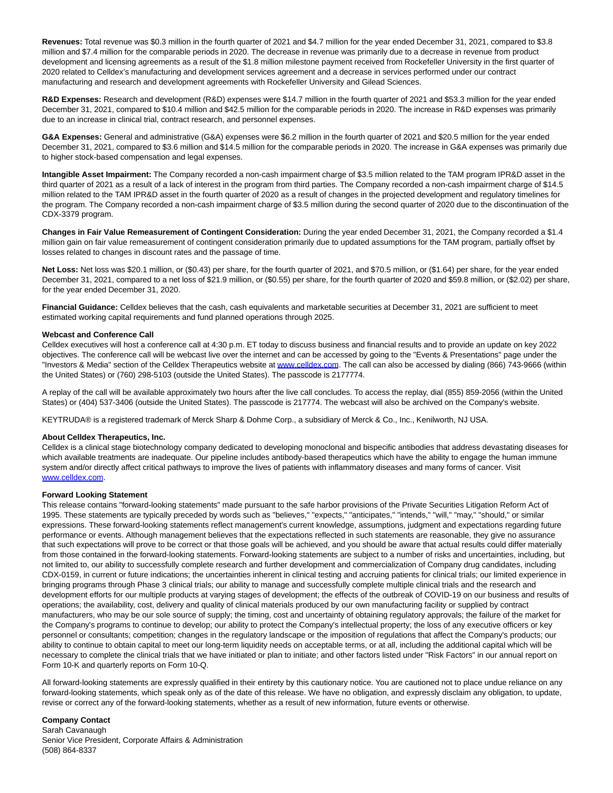**Revenues:** Total revenue was \$0.3 million in the fourth quarter of 2021 and \$4.7 million for the year ended December 31, 2021, compared to \$3.8 million and \$7.4 million for the comparable periods in 2020. The decrease in revenue was primarily due to a decrease in revenue from product development and licensing agreements as a result of the \$1.8 million milestone payment received from Rockefeller University in the first quarter of 2020 related to Celldex's manufacturing and development services agreement and a decrease in services performed under our contract manufacturing and research and development agreements with Rockefeller University and Gilead Sciences.

**R&D Expenses:** Research and development (R&D) expenses were \$14.7 million in the fourth quarter of 2021 and \$53.3 million for the year ended December 31, 2021, compared to \$10.4 million and \$42.5 million for the comparable periods in 2020. The increase in R&D expenses was primarily due to an increase in clinical trial, contract research, and personnel expenses.

**G&A Expenses:** General and administrative (G&A) expenses were \$6.2 million in the fourth quarter of 2021 and \$20.5 million for the year ended December 31, 2021, compared to \$3.6 million and \$14.5 million for the comparable periods in 2020. The increase in G&A expenses was primarily due to higher stock-based compensation and legal expenses.

**Intangible Asset Impairment:** The Company recorded a non-cash impairment charge of \$3.5 million related to the TAM program IPR&D asset in the third quarter of 2021 as a result of a lack of interest in the program from third parties. The Company recorded a non-cash impairment charge of \$14.5 million related to the TAM IPR&D asset in the fourth quarter of 2020 as a result of changes in the projected development and regulatory timelines for the program. The Company recorded a non-cash impairment charge of \$3.5 million during the second quarter of 2020 due to the discontinuation of the CDX-3379 program.

**Changes in Fair Value Remeasurement of Contingent Consideration:** During the year ended December 31, 2021, the Company recorded a \$1.4 million gain on fair value remeasurement of contingent consideration primarily due to updated assumptions for the TAM program, partially offset by losses related to changes in discount rates and the passage of time.

**Net Loss:** Net loss was \$20.1 million, or (\$0.43) per share, for the fourth quarter of 2021, and \$70.5 million, or (\$1.64) per share, for the year ended December 31, 2021, compared to a net loss of \$21.9 million, or (\$0.55) per share, for the fourth quarter of 2020 and \$59.8 million, or (\$2.02) per share, for the year ended December 31, 2020.

**Financial Guidance:** Celldex believes that the cash, cash equivalents and marketable securities at December 31, 2021 are sufficient to meet estimated working capital requirements and fund planned operations through 2025.

#### **Webcast and Conference Call**

Celldex executives will host a conference call at 4:30 p.m. ET today to discuss business and financial results and to provide an update on key 2022 objectives. The conference call will be webcast live over the internet and can be accessed by going to the "Events & Presentations" page under the "Investors & Media" section of the Celldex Therapeutics website a[t www.celldex.com.](http://www.celldex.com/) The call can also be accessed by dialing (866) 743-9666 (within the United States) or (760) 298-5103 (outside the United States). The passcode is 2177774.

A replay of the call will be available approximately two hours after the live call concludes. To access the replay, dial (855) 859-2056 (within the United States) or (404) 537-3406 (outside the United States). The passcode is 217774. The webcast will also be archived on the Company's website.

KEYTRUDA® is a registered trademark of Merck Sharp & Dohme Corp., a subsidiary of Merck & Co., Inc., Kenilworth, NJ USA.

#### **About Celldex Therapeutics, Inc.**

Celldex is a clinical stage biotechnology company dedicated to developing monoclonal and bispecific antibodies that address devastating diseases for which available treatments are inadequate. Our pipeline includes antibody-based therapeutics which have the ability to engage the human immune system and/or directly affect critical pathways to improve the lives of patients with inflammatory diseases and many forms of cancer. Visit [www.celldex.com.](https://www.globenewswire.com/Tracker?data=FXb5nHGZGB4BbZmTU-LR3vuf8MSGqNbvUADtxiTgp36qTDNNW2FmHL77OTWHSd-t4JPuRA0gxIo-4m_f61imrg==)

## **Forward Looking Statement**

This release contains "forward-looking statements" made pursuant to the safe harbor provisions of the Private Securities Litigation Reform Act of 1995. These statements are typically preceded by words such as "believes," "expects," "anticipates," "intends," "will," "may," "should," or similar expressions. These forward-looking statements reflect management's current knowledge, assumptions, judgment and expectations regarding future performance or events. Although management believes that the expectations reflected in such statements are reasonable, they give no assurance that such expectations will prove to be correct or that those goals will be achieved, and you should be aware that actual results could differ materially from those contained in the forward-looking statements. Forward-looking statements are subject to a number of risks and uncertainties, including, but not limited to, our ability to successfully complete research and further development and commercialization of Company drug candidates, including CDX-0159, in current or future indications; the uncertainties inherent in clinical testing and accruing patients for clinical trials; our limited experience in bringing programs through Phase 3 clinical trials; our ability to manage and successfully complete multiple clinical trials and the research and development efforts for our multiple products at varying stages of development; the effects of the outbreak of COVID-19 on our business and results of operations; the availability, cost, delivery and quality of clinical materials produced by our own manufacturing facility or supplied by contract manufacturers, who may be our sole source of supply; the timing, cost and uncertainty of obtaining regulatory approvals; the failure of the market for the Company's programs to continue to develop; our ability to protect the Company's intellectual property; the loss of any executive officers or key personnel or consultants; competition; changes in the regulatory landscape or the imposition of regulations that affect the Company's products; our ability to continue to obtain capital to meet our long-term liquidity needs on acceptable terms, or at all, including the additional capital which will be necessary to complete the clinical trials that we have initiated or plan to initiate; and other factors listed under "Risk Factors" in our annual report on Form 10-K and quarterly reports on Form 10-Q.

All forward-looking statements are expressly qualified in their entirety by this cautionary notice. You are cautioned not to place undue reliance on any forward-looking statements, which speak only as of the date of this release. We have no obligation, and expressly disclaim any obligation, to update, revise or correct any of the forward-looking statements, whether as a result of new information, future events or otherwise.

#### **Company Contact**

Sarah Cavanaugh Senior Vice President, Corporate Affairs & Administration (508) 864-8337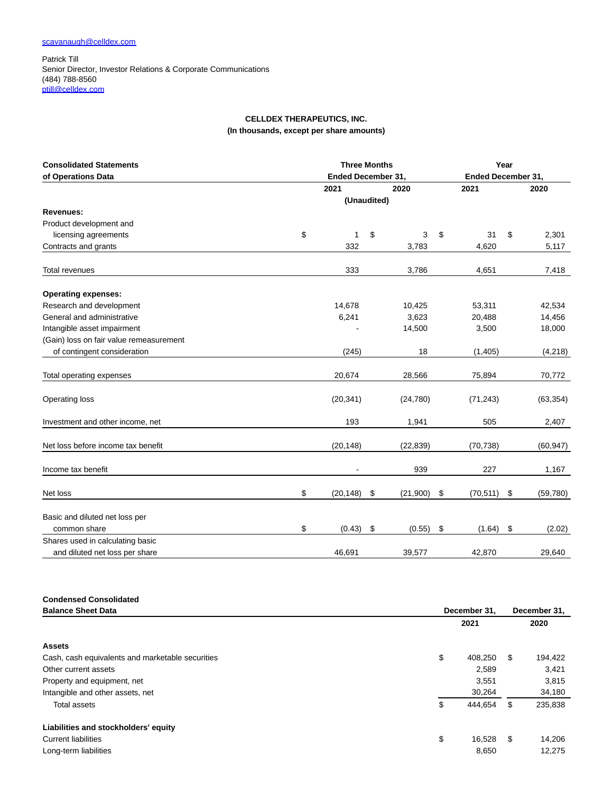Patrick Till Senior Director, Investor Relations & Corporate Communications (484) 788-8560 [ptill@celldex.com](https://www.globenewswire.com/Tracker?data=A3fX72X6Pfo8ErqufozTxgs41aqGfkP8YmSZ2vHNzsZxx_v-lKD5469Zn5VHM7wBB7CGJWq-MuKjdEaQEB3b6A==)

# **CELLDEX THERAPEUTICS, INC.**

**(In thousands, except per share amounts)**

| <b>Consolidated Statements</b>          | <b>Three Months</b> |    |           |    | Year               |    |           |  |
|-----------------------------------------|---------------------|----|-----------|----|--------------------|----|-----------|--|
| of Operations Data                      | Ended December 31,  |    |           |    | Ended December 31, |    |           |  |
|                                         | 2021                |    | 2020      |    | 2021               |    | 2020      |  |
|                                         | (Unaudited)         |    |           |    |                    |    |           |  |
| Revenues:                               |                     |    |           |    |                    |    |           |  |
| Product development and                 |                     |    |           |    |                    |    |           |  |
| licensing agreements                    | \$<br>1             | \$ | 3         | \$ | 31                 | \$ | 2,301     |  |
| Contracts and grants                    | 332                 |    | 3,783     |    | 4,620              |    | 5,117     |  |
| <b>Total revenues</b>                   | 333                 |    | 3,786     |    | 4,651              |    | 7,418     |  |
| <b>Operating expenses:</b>              |                     |    |           |    |                    |    |           |  |
| Research and development                | 14,678              |    | 10,425    |    | 53,311             |    | 42,534    |  |
| General and administrative              | 6,241               |    | 3,623     |    | 20,488             |    | 14,456    |  |
| Intangible asset impairment             |                     |    | 14,500    |    | 3,500              |    | 18,000    |  |
| (Gain) loss on fair value remeasurement |                     |    |           |    |                    |    |           |  |
| of contingent consideration             | (245)               |    | 18        |    | (1,405)            |    | (4,218)   |  |
| Total operating expenses                | 20,674              |    | 28,566    |    | 75,894             |    | 70,772    |  |
| Operating loss                          | (20, 341)           |    | (24, 780) |    | (71, 243)          |    | (63, 354) |  |
| Investment and other income, net        | 193                 |    | 1,941     |    | 505                |    | 2,407     |  |
| Net loss before income tax benefit      | (20, 148)           |    | (22, 839) |    | (70, 738)          |    | (60, 947) |  |
| Income tax benefit                      | $\blacksquare$      |    | 939       |    | 227                |    | 1,167     |  |
| Net loss                                | \$<br>(20, 148)     | \$ | (21,900)  | \$ | (70, 511)          | \$ | (59,780)  |  |
| Basic and diluted net loss per          |                     |    |           |    |                    |    |           |  |
| common share                            | \$<br>(0.43)        | \$ | (0.55)    | \$ | (1.64)             | \$ | (2.02)    |  |
| Shares used in calculating basic        |                     |    |           |    |                    |    |           |  |
| and diluted net loss per share          | 46,691              |    | 39,577    |    | 42,870             |    | 29,640    |  |

# **Condensed Consolidated**

| <b>Balance Sheet Data</b>                        | December 31.  | December 31.  |  |  |
|--------------------------------------------------|---------------|---------------|--|--|
|                                                  | 2021          | 2020          |  |  |
| <b>Assets</b>                                    |               |               |  |  |
| Cash, cash equivalents and marketable securities | \$<br>408.250 | \$<br>194,422 |  |  |
| Other current assets                             | 2,589         | 3,421         |  |  |
| Property and equipment, net                      | 3,551         | 3,815         |  |  |
| Intangible and other assets, net                 | 30,264        | 34,180        |  |  |
| <b>Total assets</b>                              | \$<br>444.654 | \$<br>235,838 |  |  |
| Liabilities and stockholders' equity             |               |               |  |  |
| <b>Current liabilities</b>                       | \$<br>16.528  | \$<br>14.206  |  |  |
| Long-term liabilities                            | 8,650         | 12,275        |  |  |